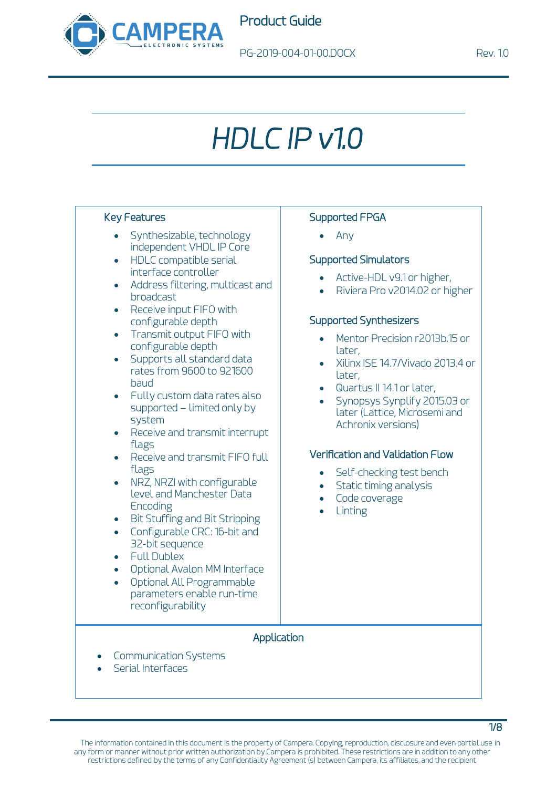

# *HDLC IP v1.0*

#### Key Features

- Synthesizable, technology independent VHDL IP Core
- HDLC compatible serial interface controller
- Address filtering, multicast and broadcast
- Receive input FIFO with configurable depth
- Transmit output FIFO with configurable depth
- Supports all standard data rates from 9600 to 921600 baud
- Fully custom data rates also supported – limited only by system
- Receive and transmit interrupt flags
- Receive and transmit FIFO full flags
- NRZ, NRZI with configurable level and Manchester Data **Encoding**
- Bit Stuffing and Bit Stripping
- Configurable CRC: 16-bit and 32-bit sequence
- Full Dublex
- Optional Avalon MM Interface
- Optional All Programmable parameters enable run-time reconfigurability

### Supported FPGA

• Any

#### Supported Simulators

- Active-HDL v9.1 or higher,
- Riviera Pro v2014.02 or higher

#### Supported Synthesizers

- Mentor Precision r2013b.15 or later,
- Xilinx ISE 14.7/Vivado 2013.4 or later,
- Quartus II 14.1 or later,
- Synopsys Synplify 2015.03 or later (Lattice, Microsemi and Achronix versions)

### Verification and Validation Flow

- Self-checking test bench
- Static timing analysis
- Code coverage
- **Linting**

#### Application

- Communication Systems
- Serial Interfaces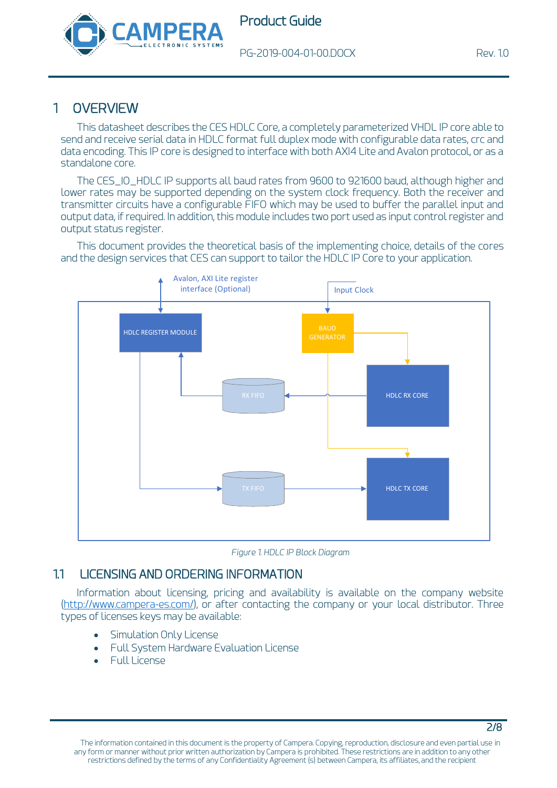



# 1 OVERVIEW

This datasheet describes the CES HDLC Core, a completely parameterized VHDL IP core able to send and receive serial data in HDLC format full duplex mode with configurable data rates, crc and data encoding. This IP core is designed to interface with both AXI4 Lite and Avalon protocol, or as a standalone core.

The CES\_IO\_HDLC IP supports all baud rates from 9600 to 921600 baud, although higher and lower rates may be supported depending on the system clock frequency. Both the receiver and transmitter circuits have a configurable FIFO which may be used to buffer the parallel input and output data, if required. In addition, this module includes two port used as input control register and output status register.

This document provides the theoretical basis of the implementing choice, details of the cores and the design services that CES can support to tailor the HDLC IP Core to your application.





## 1.1 LICENSING AND ORDERING INFORMATION

Information about licensing, pricing and availability is available on the company website [\(http://www.campera-es.com/\)](http://www.campera-es.com/), or after contacting the company or your local distributor. Three types of licenses keys may be available:

- [Simulation Only License](https://www.xilinx.com/support/documentation/sw_manuals/xilinx11/cgn_r_simulation_only_license.htm)
- [Full System Hardware Evaluation License](https://www.xilinx.com/support/documentation/sw_manuals/xilinx11/cgn_p_obtaining_full_system_hardware_evaluation_license.htm)
- [Full License](https://www.xilinx.com/support/documentation/sw_manuals/xilinx11/cgn_p_obtaining_full_license.htm)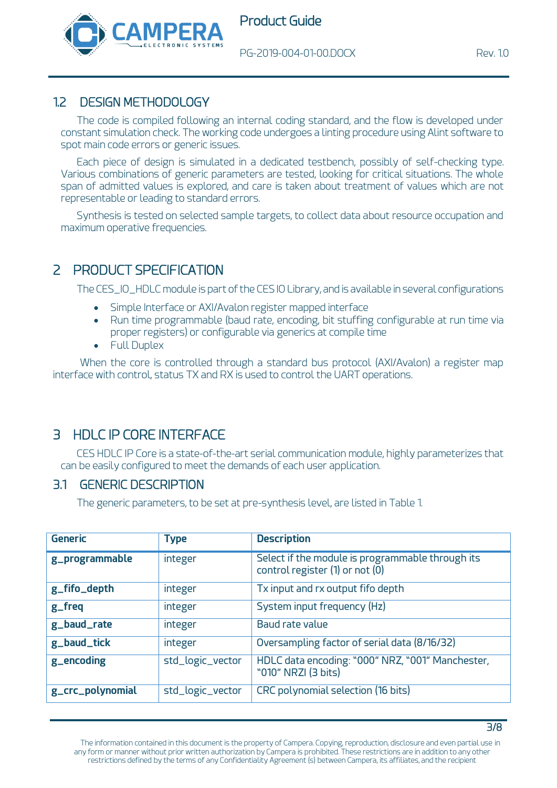



## 1.2 DESIGN METHODOLOGY

The code is compiled following an internal coding standard, and the flow is developed under constant simulation check. The working code undergoes a linting procedure using Alint software to spot main code errors or generic issues.

Each piece of design is simulated in a dedicated testbench, possibly of self-checking type. Various combinations of generic parameters are tested, looking for critical situations. The whole span of admitted values is explored, and care is taken about treatment of values which are not representable or leading to standard errors.

Synthesis is tested on selected sample targets, to collect data about resource occupation and maximum operative frequencies.

# 2 PRODUCT SPECIFICATION

The CES\_IO\_HDLC module is part of the CES IO Library, and is available in several configurations

- Simple Interface or AXI/Avalon register mapped interface
- Run time programmable (baud rate, encoding, bit stuffing configurable at run time via proper registers) or configurable via generics at compile time
- Full Duplex

When the core is controlled through a standard bus protocol (AXI/Avalon) a register map interface with control, status TX and RX is used to control the UART operations.

# 3 HDLC IP CORE INTERFACE

CES HDLC IP Core is a state-of-the-art serial communication module, highly parameterizes that can be easily configured to meet the demands of each user application.

## 3.1 GENERIC DESCRIPTION

The generic parameters, to be set at pre-synthesis level, are listed in [Table 1.](#page-3-0)

| <b>Generic</b>   | <b>Type</b>      | <b>Description</b>                                                                  |
|------------------|------------------|-------------------------------------------------------------------------------------|
| g_programmable   | integer          | Select if the module is programmable through its<br>control register (1) or not (0) |
| g_fifo_depth     | integer          | Tx input and rx output fifo depth                                                   |
| g_freq           | integer          | System input frequency (Hz)                                                         |
| g_baud_rate      | integer          | Baud rate value                                                                     |
| g_baud_tick      | integer          | Oversampling factor of serial data (8/16/32)                                        |
| g_encoding       | std_logic_vector | HDLC data encoding: "000" NRZ, "001" Manchester,<br>"010" NRZI (3 bits)             |
| g_crc_polynomial | std_logic_vector | CRC polynomial selection (16 bits)                                                  |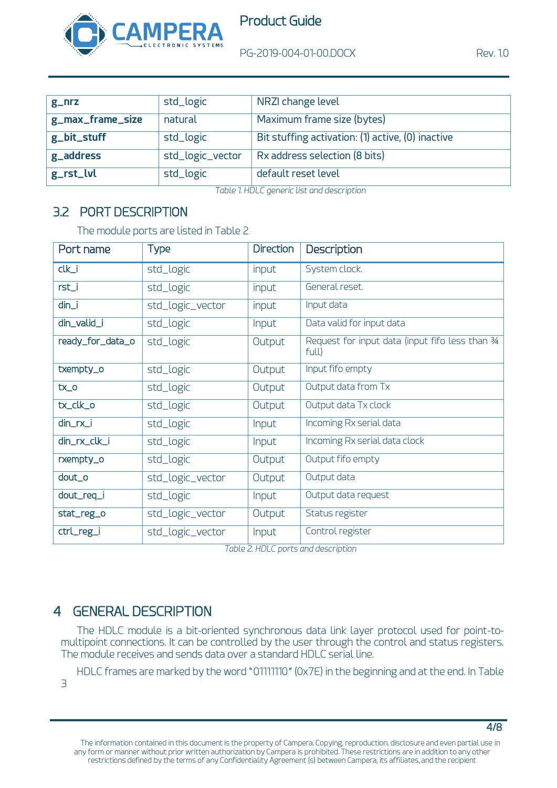

| $g$ <sub>-nrz</sub> | std_logic        | NRZI change level                                 |
|---------------------|------------------|---------------------------------------------------|
| g_max_frame_size    | natural          | Maximum frame size (bytes)                        |
| g_bit_stuff         | std_logic        | Bit stuffing activation: (1) active, (0) inactive |
| g_address           | std_logic_vector | Rx address selection (8 bits)                     |
| $g_{r}$ rst_lvl     | std_logic        | default reset level                               |

*Table 1. HDLC generic list and description*

# <span id="page-3-0"></span>3.2 PORT DESCRIPTION

The module ports are listed i[n Table 2](#page-3-1)

| Port name        | <b>Type</b>      | <b>Direction</b> | Description                                              |
|------------------|------------------|------------------|----------------------------------------------------------|
| $clk_i$          | std_logic        | input            | System clock.                                            |
| rst_i            | std_logic        | input            | General reset.                                           |
| $dim_i$          | std_logic_vector | input            | Input data                                               |
| din_valid_i      | std_logic        | Input            | Data valid for input data                                |
| ready_for_data_o | std_logic        | Output           | Request for input data (input fifo less than 34<br>full) |
| txempty_o        | std_logic        | Output           | Input fifo empty                                         |
| $tx_0$           | std_logic        | Output           | Output data from Tx                                      |
| tx_clk_o         | std_logic        | Output           | Output data Tx clock                                     |
| $dim_rrx_i$      | std_logic        | Input            | Incoming Rx serial data                                  |
| din_rx_clk_i     | std_logic        | Input            | Incoming Rx serial data clock                            |
| rxempty_o        | std_logic        | Output           | Output fifo empty                                        |
| dout_o           | std_logic_vector | Output           | Output data                                              |
| dout_req_i       | std_logic        | Input            | Output data request                                      |
| stat_reg_o       | std_logic_vector | Output           | Status register                                          |
| ctrl_reg_i       | std_logic_vector | Input            | Control register                                         |

*Table 2. HDLC ports and description* 

# <span id="page-3-1"></span>4 GENERAL DESCRIPTION

The HDLC module is a bit-oriented synchronous data link layer protocol used for point-tomultipoint connections. It can be controlled by the user through the control and status registers. The module receives and sends data over a standard HDLC serial line.

HDLC frames are marked by the word "01111110" (0x7E) in the beginning and at the end. In [Table](#page-4-0)  [3](#page-4-0)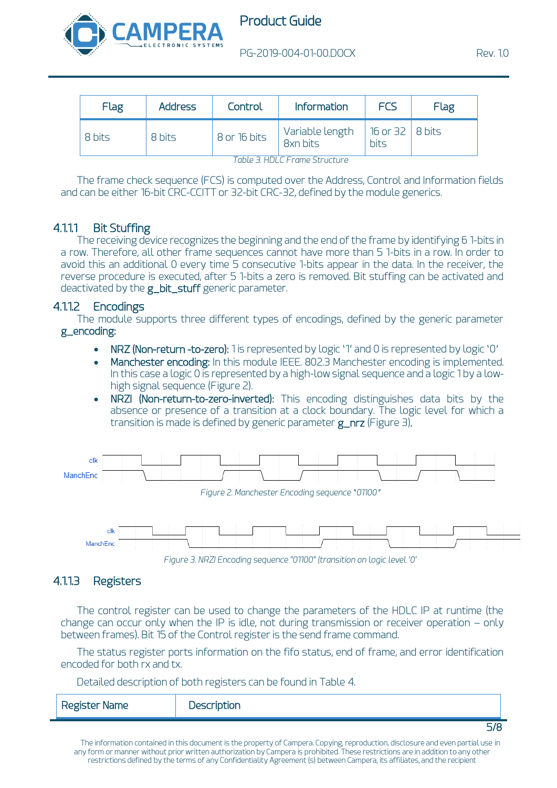

| Flag   | <b>Address</b> | Control        | <b>Information</b>          | FCS                                    | Flag |
|--------|----------------|----------------|-----------------------------|----------------------------------------|------|
| 8 bits | 8 bits         | $8$ or 16 bits | Variable length<br>8xn bits | 16 or $32 \mid 8 \text{ bits}$<br>bits |      |

*Table 3. HDLC Frame Structure*

<span id="page-4-0"></span>The frame check sequence (FCS) is computed over the Address, Control and Information fields and can be either 16-bit CRC-CCITT or 32-bit CRC-32, defined by the module generics.

## 4.1.1.1 Bit Stuffing

The receiving device recognizes the beginning and the end of the frame by identifying 6 1-bits in a row. Therefore, all other frame sequences cannot have more than 5 1-bits in a row. In order to avoid this an additional 0 every time 5 consecutive 1-bits appear in the data. In the receiver, the reverse procedure is executed, after 5 1-bits a zero is removed. Bit stuffing can be activated and deactivated by the **g\_bit\_stuff** generic parameter.

### 4.1.1.2 Encodings

The module supports three different types of encodings, defined by the generic parameter g\_encoding:

- NRZ (Non-return -to-zero): 1 is represented by logic '1' and 0 is represented by logic '0'
- Manchester encoding: In this module IEEE. 802.3 Manchester encoding is implemented. In this case a logic 0 is represented by a high-low signal sequence and a logic 1 by a lowhigh signal sequence [\(Figure 2\)](#page-4-1).
- NRZI (Non-return-to-zero-inverted): This encoding distinguishes data bits by the absence or presence of a transition at a clock boundary. The logic level for which a transition is made is defined by generic parameter  $g_n$ nrz [\(Figure 3\)](#page-4-2).

<span id="page-4-1"></span>

## <span id="page-4-2"></span>4.1.1.3 Registers

The control register can be used to change the parameters of the HDLC IP at runtime (the change can occur only when the IP is idle, not during transmission or receiver operation – only between frames). Bit 15 of the Control register is the send frame command.

The status register ports information on the fifo status, end of frame, and error identification encoded for both rx and tx.

Detailed description of both registers can be found in [Table 4.](#page-5-0)

| <b>Register Name</b> | Description |  |
|----------------------|-------------|--|
|                      |             |  |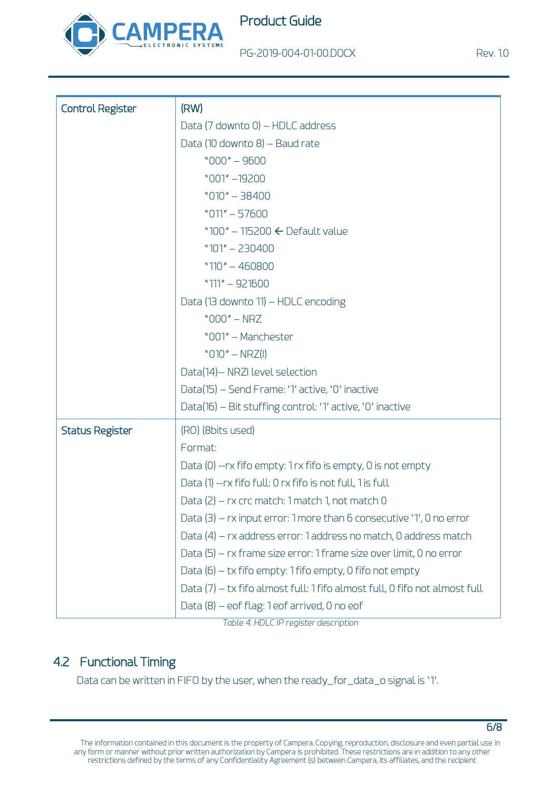

Product Guide

PG-2019-004-01-00.DOCX Rev. 1.0

| <b>Control Register</b> | (RW)                                                                       |  |  |  |
|-------------------------|----------------------------------------------------------------------------|--|--|--|
|                         | Data (7 downto 0) – HDLC address                                           |  |  |  |
|                         | Data (10 downto 8) - Baud rate                                             |  |  |  |
|                         | $"000" - 9600"$                                                            |  |  |  |
|                         | "001" -19200                                                               |  |  |  |
|                         | $"010" - 38400"$                                                           |  |  |  |
|                         | $"011" - 57600$                                                            |  |  |  |
|                         | "100" - 115200 $\leftarrow$ Default value                                  |  |  |  |
|                         | $"101" - 230400$                                                           |  |  |  |
|                         | " $110" - 460800$                                                          |  |  |  |
|                         | $"111" - 921600$                                                           |  |  |  |
|                         | Data (13 downto 11) - HDLC encoding                                        |  |  |  |
|                         | $"000" - N RZ$                                                             |  |  |  |
|                         | "001" - Manchester                                                         |  |  |  |
|                         | " $010" - NRZ(1)$                                                          |  |  |  |
|                         | Data(14)-- NRZI level selection                                            |  |  |  |
|                         | Data(15) – Send Frame: '1' active, '0' inactive                            |  |  |  |
|                         | Data(16) - Bit stuffing control: '1' active, '0' inactive                  |  |  |  |
| <b>Status Register</b>  | (RO) (8bits used)                                                          |  |  |  |
|                         | Format:                                                                    |  |  |  |
|                         | Data (0) -- rx fifo empty: 1 rx fifo is empty, 0 is not empty              |  |  |  |
|                         | Data (1) --rx fifo full: 0 rx fifo is not full, 1 is full                  |  |  |  |
|                         | Data (2) – rx crc match: 1 match 1, not match 0                            |  |  |  |
|                         | Data $(3)$ – rx input error: 1 more than 6 consecutive '1', 0 no error     |  |  |  |
|                         | Data (4) – rx address error: 1 address no match, 0 address match           |  |  |  |
|                         | Data (5) – rx frame size error: 1 frame size over limit, 0 no error        |  |  |  |
|                         | Data $(6)$ – tx fifo empty: 1 fifo empty, 0 fifo not empty                 |  |  |  |
|                         | Data (7) – tx fifo almost full: 1 fifo almost full, 0 fifo not almost full |  |  |  |
|                         | Data (8) – eof flag: 1 eof arrived, 0 no eof                               |  |  |  |

*Table 4. HDLC IP register description*

## <span id="page-5-0"></span>4.2 Functional Timing

Data can be written in FIFO by the user, when the ready\_for\_data\_o signal is '1'.

6/8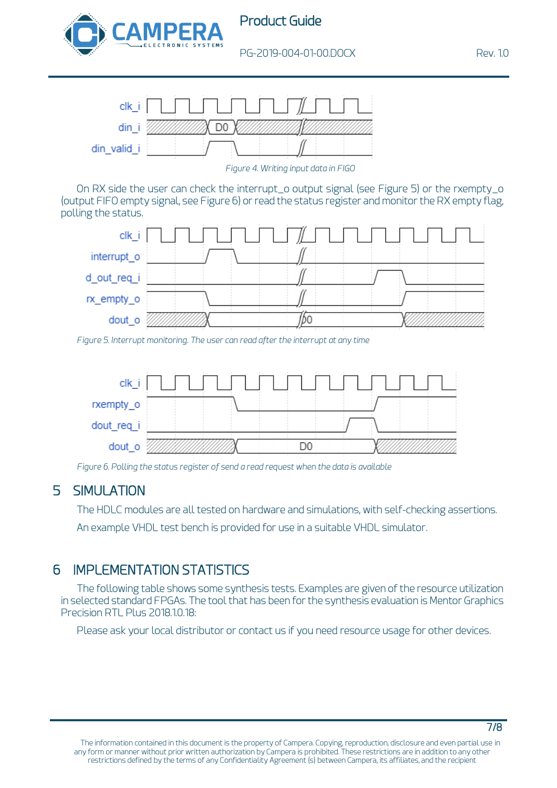



*Figure 4. Writing input data in FIGO*

On RX side the user can check the interrupt\_o output signal (see [Figure 5\)](#page-6-0) or the rxempty\_o (output FIFO empty signal, se[e Figure 6\)](#page-6-1) or read the status register and monitor the RX empty flag, polling the status.



<span id="page-6-0"></span>*Figure 5. Interrupt monitoring. The user can read after the interrupt at any time*



*Figure 6. Polling the status register of send a read request when the data is available*

# <span id="page-6-1"></span>5 SIMULATION

The HDLC modules are all tested on hardware and simulations, with self-checking assertions. An example VHDL test bench is provided for use in a suitable VHDL simulator.

# 6 IMPLEMENTATION STATISTICS

The following table shows some synthesis tests. Examples are given of the resource utilization in selected standard FPGAs. The tool that has been for the synthesis evaluation is Mentor Graphics Precision RTL Plus 2018.1.0.18:

Please ask your local distributor or contact us if you need resource usage for other devices.